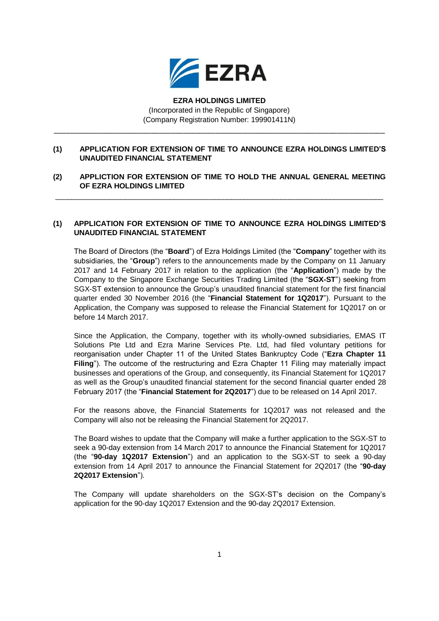

**EZRA HOLDINGS LIMITED** (Incorporated in the Republic of Singapore) (Company Registration Number: 199901411N)

## **(1) APPLICATION FOR EXTENSION OF TIME TO ANNOUNCE EZRA HOLDINGS LIMITED'S UNAUDITED FINANCIAL STATEMENT**

\_\_\_\_\_\_\_\_\_\_\_\_\_\_\_\_\_\_\_\_\_\_\_\_\_\_\_\_\_\_\_\_\_\_\_\_\_\_\_\_\_\_\_\_\_\_\_\_\_\_\_\_\_\_\_\_\_\_\_\_\_\_\_\_\_\_\_\_\_\_\_\_\_\_\_\_\_\_\_\_\_\_

## **(2) APPLICTION FOR EXTENSION OF TIME TO HOLD THE ANNUAL GENERAL MEETING OF EZRA HOLDINGS LIMITED**

 $\_$  , and the set of the set of the set of the set of the set of the set of the set of the set of the set of the set of the set of the set of the set of the set of the set of the set of the set of the set of the set of th

## **(1) APPLICATION FOR EXTENSION OF TIME TO ANNOUNCE EZRA HOLDINGS LIMITED'S UNAUDITED FINANCIAL STATEMENT**

The Board of Directors (the "**Board**") of Ezra Holdings Limited (the "**Company**" together with its subsidiaries, the "**Group**") refers to the announcements made by the Company on 11 January 2017 and 14 February 2017 in relation to the application (the "**Application**") made by the Company to the Singapore Exchange Securities Trading Limited (the "**SGX-ST**") seeking from SGX-ST extension to announce the Group's unaudited financial statement for the first financial quarter ended 30 November 2016 (the "**Financial Statement for 1Q2017**"). Pursuant to the Application, the Company was supposed to release the Financial Statement for 1Q2017 on or before 14 March 2017.

Since the Application, the Company, together with its wholly-owned subsidiaries, EMAS IT Solutions Pte Ltd and Ezra Marine Services Pte. Ltd, had filed voluntary petitions for reorganisation under Chapter 11 of the United States Bankruptcy Code ("**Ezra Chapter 11 Filing**"). The outcome of the restructuring and Ezra Chapter 11 Filing may materially impact businesses and operations of the Group, and consequently, its Financial Statement for 1Q2017 as well as the Group's unaudited financial statement for the second financial quarter ended 28 February 2017 (the "**Financial Statement for 2Q2017**") due to be released on 14 April 2017.

For the reasons above, the Financial Statements for 1Q2017 was not released and the Company will also not be releasing the Financial Statement for 2Q2017.

The Board wishes to update that the Company will make a further application to the SGX-ST to seek a 90-day extension from 14 March 2017 to announce the Financial Statement for 1Q2017 (the "**90-day 1Q2017 Extension**") and an application to the SGX-ST to seek a 90-day extension from 14 April 2017 to announce the Financial Statement for 2Q2017 (the "**90-day 2Q2017 Extension**").

The Company will update shareholders on the SGX-ST's decision on the Company's application for the 90-day 1Q2017 Extension and the 90-day 2Q2017 Extension.